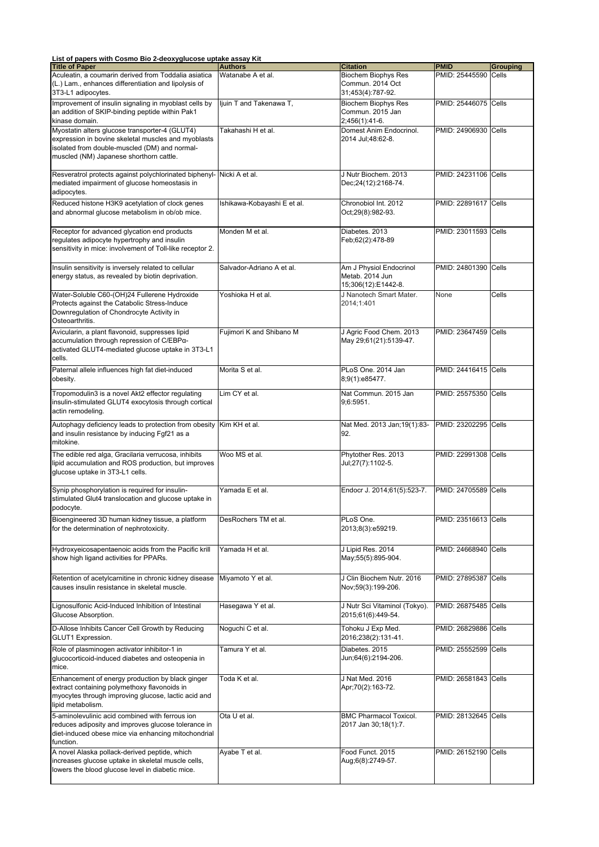**List of papers with Cosmo Bio 2-deoxyglucose uptake assay Kit**

| <b>Title of Paper</b>                                                                                        | <b>Authors</b>              | <b>Citation</b>                                | <b>PMID</b>          | <b>Grouping</b> |
|--------------------------------------------------------------------------------------------------------------|-----------------------------|------------------------------------------------|----------------------|-----------------|
| Aculeatin, a coumarin derived from Toddalia asiatica<br>(L.) Lam., enhances differentiation and lipolysis of | Watanabe A et al.           | <b>Biochem Biophys Res</b><br>Commun. 2014 Oct | PMID: 25445590       | Cells           |
| 3T3-L1 adipocytes.                                                                                           |                             | 31;453(4):787-92.                              |                      |                 |
| Improvement of insulin signaling in myoblast cells by                                                        | ljuin T and Takenawa T,     | <b>Biochem Biophys Res</b>                     | PMID: 25446075 Cells |                 |
| an addition of SKIP-binding peptide within Pak1<br>kinase domain.                                            |                             | Commun. 2015 Jan<br>2;456(1):41-6.             |                      |                 |
| Myostatin alters glucose transporter-4 (GLUT4)                                                               | Takahashi H et al.          | Domest Anim Endocrinol.                        | PMID: 24906930 Cells |                 |
| expression in bovine skeletal muscles and myoblasts                                                          |                             | 2014 Jul;48:62-8.                              |                      |                 |
| isolated from double-muscled (DM) and normal-<br>muscled (NM) Japanese shorthorn cattle.                     |                             |                                                |                      |                 |
|                                                                                                              |                             |                                                |                      |                 |
| Resveratrol protects against polychlorinated biphenyl- Nicki A et al.                                        |                             | J Nutr Biochem, 2013                           | PMID: 24231106 Cells |                 |
| mediated impairment of glucose homeostasis in<br>adipocytes.                                                 |                             | Dec; 24(12): 2168-74.                          |                      |                 |
| Reduced histone H3K9 acetylation of clock genes                                                              | Ishikawa-Kobayashi E et al. | Chronobiol Int. 2012                           | PMID: 22891617 Cells |                 |
| and abnormal glucose metabolism in ob/ob mice.                                                               |                             | Oct;29(8):982-93.                              |                      |                 |
| Receptor for advanced glycation end products                                                                 | Monden M et al.             | Diabetes, 2013                                 | PMID: 23011593 Cells |                 |
| regulates adipocyte hypertrophy and insulin                                                                  |                             | Feb;62(2):478-89                               |                      |                 |
| sensitivity in mice: involvement of Toll-like receptor 2.                                                    |                             |                                                |                      |                 |
| Insulin sensitivity is inversely related to cellular                                                         | Salvador-Adriano A et al.   | Am J Physiol Endocrinol                        | PMID: 24801390 Cells |                 |
| energy status, as revealed by biotin deprivation.                                                            |                             | Metab. 2014 Jun                                |                      |                 |
| Water-Soluble C60-(OH)24 Fullerene Hydroxide                                                                 | Yoshioka H et al.           | 15;306(12):E1442-8.<br>J Nanotech Smart Mater. | None                 | Cells           |
| Protects against the Catabolic Stress-Induce                                                                 |                             | 2014;1:401                                     |                      |                 |
| Downregulation of Chondrocyte Activity in                                                                    |                             |                                                |                      |                 |
| Osteoarthritis.<br>Avicularin, a plant flavonoid, suppresses lipid                                           | Fujimori K and Shibano M    | J Agric Food Chem. 2013                        | PMID: 23647459 Cells |                 |
| accumulation through repression of C/EBPa-                                                                   |                             | May 29;61(21):5139-47.                         |                      |                 |
| activated GLUT4-mediated glucose uptake in 3T3-L1                                                            |                             |                                                |                      |                 |
| cells.                                                                                                       |                             |                                                |                      |                 |
| Paternal allele influences high fat diet-induced<br>obesity.                                                 | Morita S et al.             | PLoS One. 2014 Jan<br>8;9(1):e85477.           | PMID: 24416415 Cells |                 |
| Tropomodulin3 is a novel Akt2 effector regulating                                                            | Lim CY et al.               | Nat Commun. 2015 Jan                           | PMID: 25575350 Cells |                 |
| insulin-stimulated GLUT4 exocytosis through cortical                                                         |                             | 9:6:5951.                                      |                      |                 |
| actin remodeling.                                                                                            |                             |                                                |                      |                 |
| Autophagy deficiency leads to protection from obesity Kim KH et al.                                          |                             | Nat Med. 2013 Jan; 19(1): 83-                  | PMID: 23202295 Cells |                 |
| and insulin resistance by inducing Fgf21 as a<br>mitokine.                                                   |                             | 92.                                            |                      |                 |
| The edible red alga, Gracilaria verrucosa, inhibits                                                          | Woo MS et al.               | Phytother Res. 2013                            | PMID: 22991308 Cells |                 |
| lipid accumulation and ROS production, but improves                                                          |                             | Jul;27(7):1102-5.                              |                      |                 |
| glucose uptake in 3T3-L1 cells.                                                                              |                             |                                                |                      |                 |
| Synip phosphorylation is required for insulin-                                                               | Yamada E et al.             | Endocr J. 2014;61(5):523-7.                    | PMID: 24705589 Cells |                 |
| stimulated Glut4 translocation and glucose uptake in                                                         |                             |                                                |                      |                 |
| podocyte.                                                                                                    |                             |                                                |                      |                 |
| Bioengineered 3D human kidney tissue, a platform<br>for the determination of nephrotoxicity.                 | DesRochers TM et al.        | PLoS One.<br>2013;8(3):e59219.                 | PMID: 23516613 Cells |                 |
|                                                                                                              |                             |                                                |                      |                 |
| Hydroxyeicosapentaenoic acids from the Pacific krill                                                         | Yamada H et al.             | J Lipid Res. 2014                              | PMID: 24668940 Cells |                 |
| show high ligand activities for PPARs.                                                                       |                             | May;55(5):895-904.                             |                      |                 |
| Retention of acetylcarnitine in chronic kidney disease                                                       | Miyamoto Y et al.           | J Clin Biochem Nutr, 2016                      | PMID: 27895387 Cells |                 |
| causes insulin resistance in skeletal muscle.                                                                |                             | Nov;59(3):199-206.                             |                      |                 |
| Lignosulfonic Acid-Induced Inhibition of Intestinal                                                          | Hasegawa Y et al.           | J Nutr Sci Vitaminol (Tokyo).                  | PMID: 26875485       | Cells           |
| Glucose Absorption.                                                                                          |                             | 2015;61(6):449-54.                             |                      |                 |
| D-Allose Inhibits Cancer Cell Growth by Reducing                                                             | Noguchi C et al.            | Tohoku J Exp Med.                              | PMID: 26829886 Cells |                 |
| GLUT1 Expression.                                                                                            |                             | 2016;238(2):131-41.                            |                      |                 |
| Role of plasminogen activator inhibitor-1 in                                                                 | Tamura Y et al.             | Diabetes. 2015                                 | PMID: 25552599 Cells |                 |
| glucocorticoid-induced diabetes and osteopenia in<br>mice.                                                   |                             | Jun;64(6):2194-206.                            |                      |                 |
| Enhancement of energy production by black ginger                                                             | Toda K et al.               | J Nat Med. 2016                                | PMID: 26581843 Cells |                 |
| extract containing polymethoxy flavonoids in                                                                 |                             | Apr;70(2):163-72.                              |                      |                 |
| myocytes through improving glucose, lactic acid and<br>lipid metabolism.                                     |                             |                                                |                      |                 |
| 5-aminolevulinic acid combined with ferrous ion                                                              | Ota U et al.                | <b>BMC Pharmacol Toxicol.</b>                  | PMID: 28132645 Cells |                 |
| reduces adiposity and improves glucose tolerance in                                                          |                             | 2017 Jan 30;18(1):7.                           |                      |                 |
| diet-induced obese mice via enhancing mitochondrial<br>function.                                             |                             |                                                |                      |                 |
| A novel Alaska pollack-derived peptide, which                                                                | Ayabe T et al.              | Food Funct. 2015                               | PMID: 26152190 Cells |                 |
| increases glucose uptake in skeletal muscle cells,                                                           |                             | Aug;6(8):2749-57.                              |                      |                 |
| lowers the blood glucose level in diabetic mice.                                                             |                             |                                                |                      |                 |